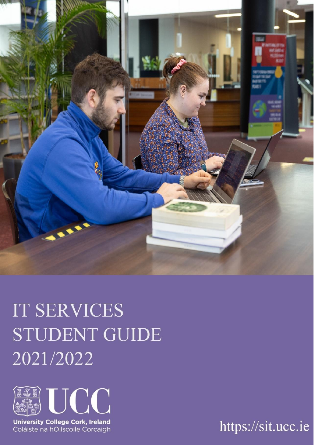

# **IT SERVICES STUDENT GUIDE** 2021/2022



University College Cork, Ireland<br>Coláiste na hOllscoile Corcaigh

https://sit.ucc.ie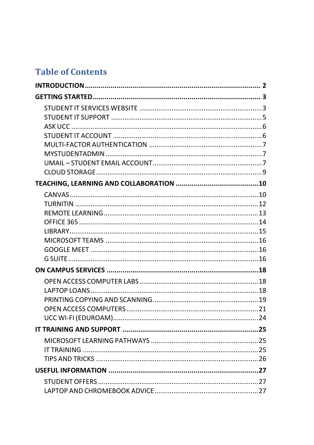# **Table of Contents**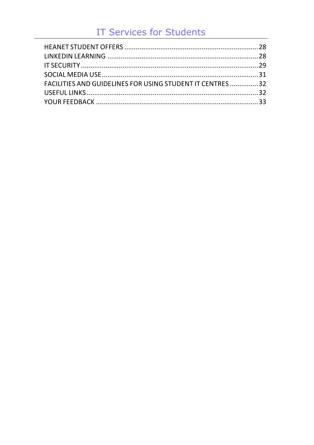# **IT Services for Students**

| FACILITIES AND GUIDELINES FOR USING STUDENT IT CENTRES 32 |  |
|-----------------------------------------------------------|--|
|                                                           |  |
|                                                           |  |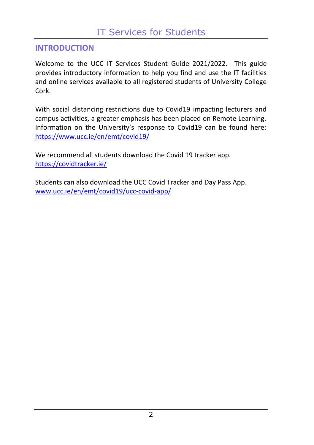# <span id="page-3-0"></span>**INTRODUCTION**

Welcome to the UCC IT Services Student Guide 2021/2022. This guide provides introductory information to help you find and use the IT facilities and online services available to all registered students of University College Cork.

With social distancing restrictions due to Covid19 impacting lecturers and campus activities, a greater emphasis has been placed on Remote Learning. Information on the University's response to Covid19 can be found here: <https://www.ucc.ie/en/emt/covid19/>

We recommend all students download the Covid 19 tracker app. <https://covidtracker.ie/>

Students can also download the UCC Covid Tracker and Day Pass App. [www.ucc.ie/en/emt/covid19/ucc-covid-app/](https://www.ucc.ie/en/emt/covid19/ucc-covid-app/)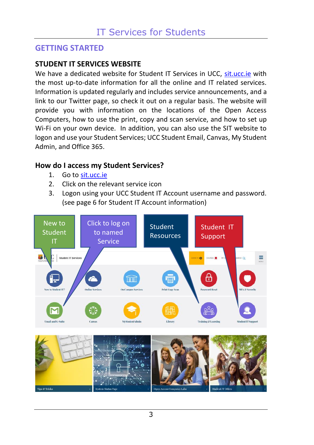# <span id="page-4-0"></span>**GETTING STARTED**

## <span id="page-4-1"></span>**STUDENT IT SERVICES WEBSITE**

We have a dedicated website for Student IT Services in UCC, [sit.ucc.ie](https://www.ucc.ie/en/sit/) with the most up-to-date information for all the online and IT related services. Information is updated regularly and includes service announcements, and a link to our Twitter page, so check it out on a regular basis. The website will provide you with information on the locations of the Open Access Computers, how to use the print, copy and scan service, and how to set up Wi-Fi on your own device. In addition, you can also use the SIT website to logon and use your Student Services; UCC Student Email, Canvas, My Student Admin, and Office 365.

### **How do I access my Student Services?**

- 1. Go to [sit.ucc.ie](https://www.ucc.ie/en/sit/)
- 2. Click on the relevant service icon
- 3. Logon using your UCC Student IT Account username and password. (see page 6 for Student IT Account information)

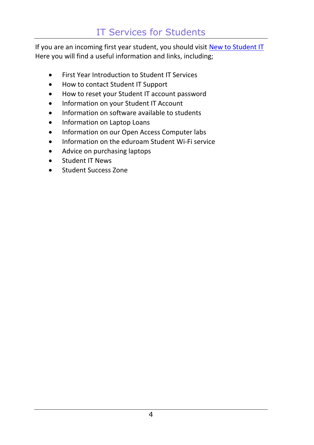# IT Services for Students

If you are an incoming first year student, you should visi[t New to Student IT](https://www.ucc.ie/en/sit/services/) Here you will find a useful information and links, including;

- First Year Introduction to Student IT Services
- How to contact Student IT Support
- How to reset your Student IT account password
- Information on your Student IT Account
- Information on software available to students
- Information on Laptop Loans
- Information on our Open Access Computer labs
- Information on the eduroam Student Wi-Fi service
- Advice on purchasing laptops
- Student IT News
- Student Success Zone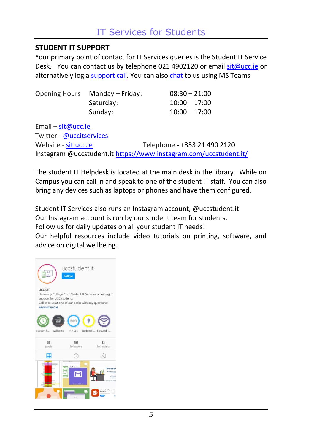# <span id="page-6-0"></span>**STUDENT IT SUPPORT**

Your primary point of contact for IT Services queries is the Student IT Service Desk. You can contact us by telephone 021 4902120 or email [sit@ucc.ie](mailto:sit@ucc.ie) or alternatively log a [support call.](https://forms.ucc.ie/web-enq-reg-students/) You can also [chat](https://teams.microsoft.com/dl/launcher/launcher.html?url=%2F_%23%2Fl%2Fteam%2F19%3Ad447135267d84b41b514de3873991ac1%40thread.tacv2%2Fconversations%3FgroupId%3Df5bbbcd6-ca65-4d04-8761-32520e7a9762%26tenantId%3D46fe5ca5-866f-4e42-92e9-ed8786245545&type=team&deeplinkId=a2c52b5e-b991-4e6d-8971-d8c826ed079f&directDl=true&msLaunch=true&enableMobilePage=true&suppressPrompt=true) to us using MS Teams

| <b>Opening Hours</b> | Monday – Friday: | $08:30 - 21:00$ |
|----------------------|------------------|-----------------|
|                      | Saturday:        | $10:00 - 17:00$ |
|                      | Sunday:          | $10:00 - 17:00$ |

Email – [sit@ucc.ie](mailto:sit@ucc.ie) Twitter - @uccitservices Website - [sit.ucc.ie](https://www.ucc.ie/en/sit/) Telephone **-** +353 21 490 2120 Instagram @uccstudent.i[t https://www.instagram.com/uccstudent.it/](https://www.instagram.com/uccstudent.it/)

The student IT Helpdesk is located at the main desk in the library. While on Campus you can call in and speak to one of the student IT staff. You can also bring any devices such as laptops or phones and have them configured.

Student IT Services also runs an Instagram account, @uccstudent.it Our Instagram account is run by our student team for students. Follow us for daily updates on all your student IT needs!

Our helpful resources include video tutorials on printing, software, and advice on digital wellbeing.

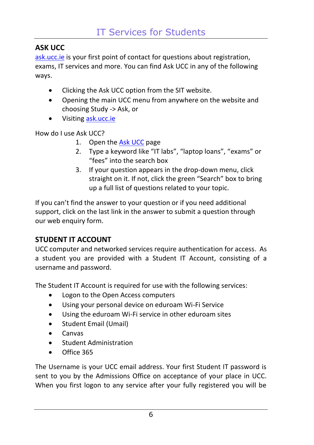# <span id="page-7-0"></span>**ASK UCC**

[ask.ucc.ie](https://www.ucc.ie/en/ask/) is your first point of contact for questions about registration, exams, IT services and more. You can find Ask UCC in any of the following ways.

- Clicking the Ask UCC option from the SIT website.
- Opening the main UCC menu from anywhere on the website and choosing Study -> Ask, or
- Visiting [ask.ucc.ie](https://www.ucc.ie/en/ask/)

How do I use Ask UCC?

- 1. Open the [Ask UCC](https://www.ucc.ie/en/ask/) page
- 2. Type a keyword like "IT labs", "laptop loans", "exams" or "fees" into the search box
- 3. If your question appears in the drop-down menu, click straight on it. If not, click the green "Search" box to bring up a full list of questions related to your topic.

If you can't find the answer to your question or if you need additional support, click on the last link in the answer to submit a question through our web enquiry form.

# <span id="page-7-1"></span>**STUDENT IT ACCOUNT**

UCC computer and networked services require authentication for access. As a student you are provided with a Student IT Account, consisting of a username and password.

The Student IT Account is required for use with the following services:

- Logon to the Open Access computers
- Using your personal device on eduroam Wi-Fi Service
- Using the eduroam Wi-Fi service in other eduroam sites
- Student Email (Umail)
- Canvas
- Student Administration
- Office 365

The Username is your UCC email address. Your first Student IT password is sent to you by the Admissions Office on acceptance of your place in UCC. When you first logon to any service after your fully registered you will be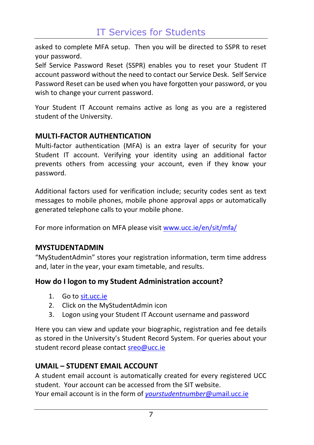asked to complete MFA setup. Then you will be directed to SSPR to reset your password.

Self Service Password Reset (SSPR) enables you to reset your Student IT account password without the need to contact our Service Desk. Self Service Password Reset can be used when you have forgotten your password, or you wish to change your current password.

Your Student IT Account remains active as long as you are a registered student of the University.

# <span id="page-8-0"></span>**MULTI-FACTOR AUTHENTICATION**

Multi-factor authentication (MFA) is an extra layer of security for your Student IT account. Verifying your identity using an additional factor prevents others from accessing your account, even if they know your password.

Additional factors used for verification include; security codes sent as text messages to mobile phones, mobile phone approval apps or automatically generated telephone calls to your mobile phone.

For more information on MFA please visit [www.ucc.ie/en/sit/mfa/](https://www.ucc.ie/en/sit/mfa/)

#### <span id="page-8-1"></span>**MYSTUDENTADMIN**

"MyStudentAdmin" stores your registration information, term time address and, later in the year, your exam timetable, and results.

### **How do I logon to my Student Administration account?**

- 1. Go to [sit.ucc.ie](https://www.ucc.ie/en/sit/)
- 2. Click on the MyStudentAdmin icon
- 3. Logon using your Student IT Account username and password

Here you can view and update your biographic, registration and fee details as stored in the University's Student Record System. For queries about your student record please contact [sreo@ucc.ie](mailto:sreo@ucc.ie)

# <span id="page-8-2"></span>**UMAIL – STUDENT EMAIL ACCOUNT**

A student email account is automatically created for every registered UCC student. Your account can be accessed from the SIT website. Your email account is in the form of *[yourstudentnumber](mailto:yourstudentnumber@umail.ucc.ie)*@umail.ucc.ie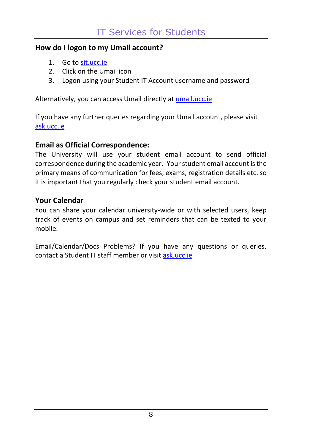#### **How do I logon to my Umail account?**

- 1. Go to [sit.ucc.ie](https://www.ucc.ie/en/sit/)
- 2. Click on the Umail icon
- 3. Logon using your Student IT Account username and password

Alternatively, you can access Umail directly at [umail.ucc.ie](https://umail.ucc.ie/)

If you have any further queries regarding your Umail account, please visit [ask.ucc.ie](http://www.ucc.ie/ask/)

# **Email as Official Correspondence:**

The University will use your student email account to send official correspondence during the academic year. Your student email account is the primary means of communication for fees, exams, registration details etc. so it is important that you regularly check your student email account.

### **Your Calendar**

You can share your calendar university-wide or with selected users, keep track of events on campus and set reminders that can be texted to your mobile.

Email/Calendar/Docs Problems? If you have any questions or queries, contact a Student IT staff member or visit [ask.ucc.ie](http://www.ucc.ie/ask/)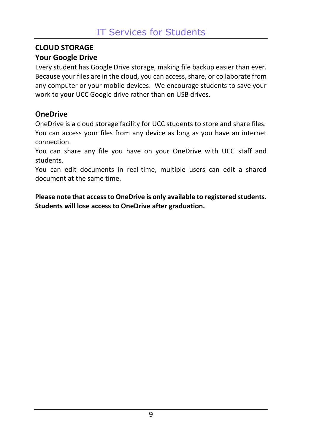# <span id="page-10-0"></span>**CLOUD STORAGE**

# **Your Google Drive**

Every student has Google Drive storage, making file backup easier than ever. Because your files are in the cloud, you can access, share, or collaborate from any computer or your mobile devices. We encourage students to save your work to your UCC Google drive rather than on USB drives.

# **OneDrive**

OneDrive is a cloud storage facility for UCC students to store and share files. You can access your files from any device as long as you have an internet connection.

You can share any file you have on your OneDrive with UCC staff and students.

You can edit documents in real-time, multiple users can edit a shared document at the same time.

**Please note that access to OneDrive is only available to registered students. Students will lose access to OneDrive after graduation.**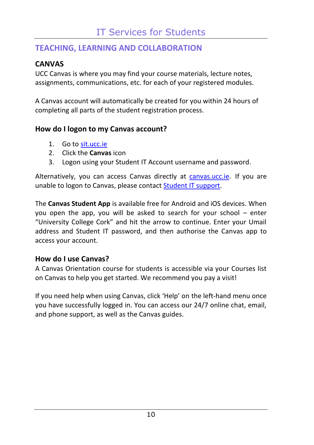# <span id="page-11-0"></span>**TEACHING, LEARNING AND COLLABORATION**

# <span id="page-11-1"></span>**CANVAS**

UCC Canvas is where you may find your course materials, lecture notes, assignments, communications, etc. for each of your registered modules.

A Canvas account will automatically be created for you within 24 hours of completing all parts of the student registration process.

# **How do I logon to my Canvas account?**

- 1. Go to [sit.ucc.ie](http://sit.ucc.ie/)
- 2. Click the **Canvas** icon
- 3. Logon using your Student IT Account username and password.

Alternatively, you can access Canvas directly at [canvas.ucc.ie.](http://canvas.ucc.ie/) If you are unable to logon to Canvas, please contac[t Student IT support.](https://www.ucc.ie/en/sit/support/)

The **Canvas Student App** is available free for Android and iOS devices. When you open the app, you will be asked to search for your school – enter "University College Cork" and hit the arrow to continue. Enter your Umail address and Student IT password, and then authorise the Canvas app to access your account.

# **How do I use Canvas?**

A Canvas Orientation course for students is accessible via your Courses list on Canvas to help you get started. We recommend you pay a visit!

If you need help when using Canvas, click 'Help' on the left-hand menu once you have successfully logged in. You can access our 24/7 online chat, email, and phone support, as well as the Canvas guides.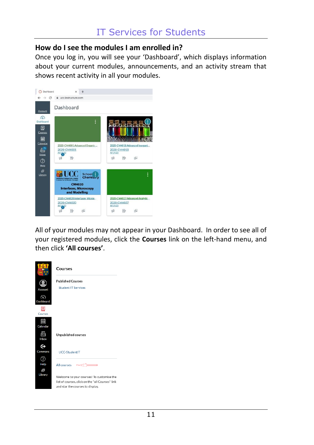#### **How do I see the modules I am enrolled in?**

Once you log in, you will see your 'Dashboard', which displays information about your current modules, announcements, and an activity stream that shows recent activity in all your modules.



All of your modules may not appear in your Dashboard. In order to see all of your registered modules, click the **Courses** link on the left-hand menu, and then click **'All courses'**.

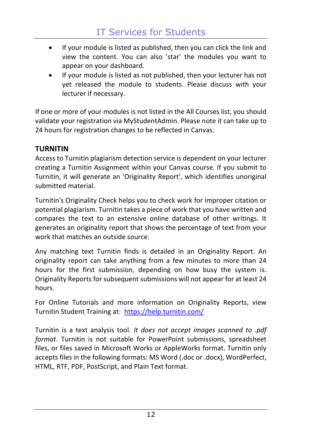- If your module is listed as published, then you can click the link and view the content. You can also 'star' the modules you want to appear on your dashboard.
- If your module is listed as not published, then your lecturer has not yet released the module to students. Please discuss with your lecturer if necessary.

If one or more of your modules is not listed in the All Courses list, you should validate your registration via MyStudentAdmin. Please note it can take up to 24 hours for registration changes to be reflected in Canvas.

# <span id="page-13-0"></span>**TURNITIN**

Access to Turnitin plagiarism detection service is dependent on your lecturer creating a Turnitin Assignment within your Canvas course. If you submit to Turnitin, it will generate an 'Originality Report', which identifies unoriginal submitted material.

Turnitin's Originality Check helps you to check work for improper citation or potential plagiarism. Turnitin takes a piece of work that you have written and compares the text to an extensive online database of other writings. It generates an originality report that shows the percentage of text from your work that matches an outside source.

Any matching text Turnitin finds is detailed in an Originality Report. An originality report can take anything from a few minutes to more than 24 hours for the first submission, depending on how busy the system is. Originality Reports for subsequent submissions will not appear for at least 24 hours.

For Online Tutorials and more information on Originality Reports, view Turnitin Student Training at: <https://help.turnitin.com/>

Turnitin is a text analysis tool. *It does not accept images scanned to .pdf format*. Turnitin is not suitable for PowerPoint submissions, spreadsheet files, or files saved in Microsoft Works or AppleWorks format. Turnitin only accepts files in the following formats: MS Word (.doc or .docx), WordPerfect, HTML, RTF, PDF, PostScript, and Plain Text format.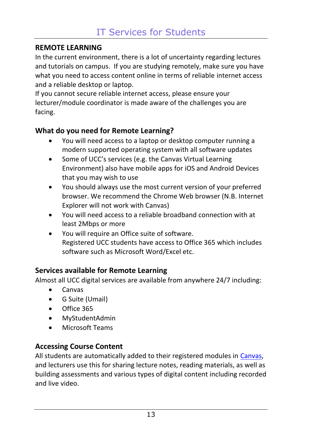## <span id="page-14-0"></span>**REMOTE LEARNING**

In the current environment, there is a lot of uncertainty regarding lectures and tutorials on campus. If you are studying remotely, make sure you have what you need to access content online in terms of reliable internet access and a reliable desktop or laptop.

If you cannot secure reliable internet access, please ensure your lecturer/module coordinator is made aware of the challenges you are facing.

# **What do you need for Remote Learning?**

- You will need access to a laptop or desktop computer running a modern supported operating system with all software updates
- Some of UCC's services (e.g. the Canvas Virtual Learning Environment) also have mobile apps for iOS and Android Devices that you may wish to use
- You should always use the most current version of your preferred browser. We recommend the Chrome Web browser (N.B. Internet Explorer will not work with Canvas)
- You will need access to a reliable broadband connection with at least 2Mbps or more
- You will require an Office suite of software. Registered UCC students have access to Office 365 which includes software such as Microsoft Word/Excel etc.

# **Services available for Remote Learning**

Almost all UCC digital services are available from anywhere 24/7 including:

- Canvas
- G Suite (Umail)
- Office 365
- MyStudentAdmin
- Microsoft Teams

# **Accessing Course Content**

All students are automatically added to their registered modules in [Canvas,](http://canvas.ucc.ie/) and lecturers use this for sharing lecture notes, reading materials, as well as building assessments and various types of digital content including recorded and live video.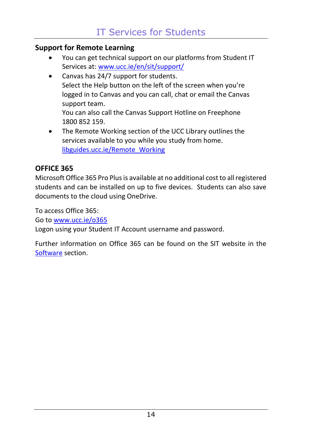## **Support for Remote Learning**

- You can get technical support on our platforms from Student IT Services at[: www.ucc.ie/en/sit/support/](http://www.ucc.ie/en/sit/support/)
- Canvas has 24/7 support for students. Select the Help button on the left of the screen when you're logged in to Canvas and you can call, chat or email the Canvas support team. You can also call the Canvas Support Hotline on Freephone
	- 1800 852 159.
- The Remote Working section of the UCC Library outlines the services available to you while you study from home. [libguides.ucc.ie/Remote\\_Working](https://libguides.ucc.ie/Remote_Working)

# <span id="page-15-0"></span>**OFFICE 365**

Microsoft Office 365 Pro Plus is available at no additional cost to all registered students and can be installed on up to five devices. Students can also save documents to the cloud using OneDrive.

To access Office 365:

Go to [www.ucc.ie/o365](http://www.ucc.ie/o365)

Logon using your Student IT Account username and password.

Further information on Office 365 can be found on the SIT website in the [Software](https://www.ucc.ie/en/sit/software/) section.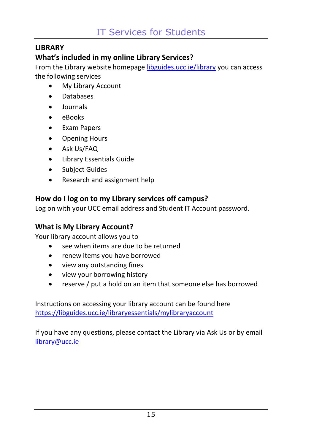# <span id="page-16-0"></span>**LIBRARY**

# **What's included in my online Library Services?**

From the Library website homepage [libguides.ucc.ie/library](https://libguides.ucc.ie/library) you can access the following services

- My Library Account
- Databases
- Journals
- eBooks
- Exam Papers
- Opening Hours
- Ask Us/FAQ
- Library Essentials Guide
- Subject Guides
- Research and assignment help

# **How do I log on to my Library services off campus?**

Log on with your UCC email address and Student IT Account password.

# **What is My Library Account?**

Your library account allows you to

- see when items are due to be returned
- renew items you have borrowed
- view any outstanding fines
- view your borrowing history
- reserve / put a hold on an item that someone else has borrowed

Instructions on accessing your library account can be found here <https://libguides.ucc.ie/libraryessentials/mylibraryaccount>

If you have any questions, please contact the Library via Ask Us or by email [library@ucc.ie](mailto:library@ucc.ie)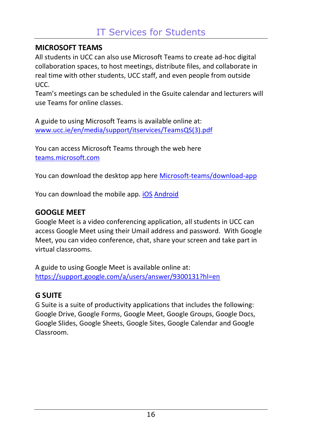# <span id="page-17-0"></span>**MICROSOFT TEAMS**

All students in UCC can also use Microsoft Teams to create ad-hoc digital collaboration spaces, to host meetings, distribute files, and collaborate in real time with other students, UCC staff, and even people from outside UCC.

Team's meetings can be scheduled in the Gsuite calendar and lecturers will use Teams for online classes.

A guide to using Microsoft Teams is available online at: [www.ucc.ie/en/media/support/itservices/TeamsQS\(3\).pdf](https://www.ucc.ie/en/media/support/itservices/TeamsQS(3).pdf)

You can access Microsoft Teams through the web here [teams.microsoft.com](https://teams.microsoft.com/)

You can download the desktop app here [Microsoft-teams/download-app](https://www.microsoft.com/en-ie/microsoft-teams/download-app)

You can download the mobile app[. iOS](https://apps.apple.com/us/app/microsoft-teams/id1113153706) [Android](https://play.google.com/store/apps/details?id=com.microsoft.teams&gl=IE) 

# <span id="page-17-1"></span>**GOOGLE MEET**

Google Meet is a video conferencing application, all students in UCC can access Google Meet using their Umail address and password. With Google Meet, you can video conference, chat, share your screen and take part in virtual classrooms.

A guide to using Google Meet is available online at: <https://support.google.com/a/users/answer/9300131?hl=en>

# <span id="page-17-2"></span>**G SUITE**

G Suite is a suite of productivity applications that includes the following: Google Drive, Google Forms, Google Meet, Google Groups, Google Docs, Google Slides, Google Sheets, Google Sites, Google Calendar and Google Classroom.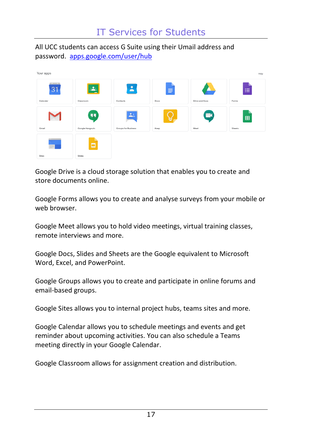All UCC students can access [G Suite](https://apps.google.com/user/hub) using their Umail address and password. [apps.google.com/user/hub](https://apps.google.com/user/hub)

| Your apps               |                       |                          |           |                        | Help        |
|-------------------------|-----------------------|--------------------------|-----------|------------------------|-------------|
| <b>CONTRACTOR</b><br>31 | ≛∣                    | ۸                        | $\equiv$  | А.                     | 油           |
| Calendar                | Classroom             | Contacts                 | Docs      | Drive and Docs         | Forms       |
| Gmail                   | 99<br>Google Hangouts | ᆠ<br>Groups for Business | ь<br>Keep | $\blacksquare$<br>Meet | 田<br>Sheets |
| $\equiv$                | ▫                     |                          |           |                        |             |
| Sites                   | Slides                |                          |           |                        |             |

Google Drive is a cloud storage solution that enables you to create and store documents online.

Google Forms allows you to create and analyse surveys from your mobile or web browser.

Google Meet allows you to hold video meetings, virtual training classes, remote interviews and more.

Google Docs, Slides and Sheets are the Google equivalent to Microsoft Word, Excel, and PowerPoint.

Google Groups allows you to create and participate in online forums and email-based groups.

Google Sites allows you to internal project hubs, teams sites and more.

Google Calendar allows you to schedule meetings and events and get reminder about upcoming activities. You can also schedule a Teams meeting directly in your Google Calendar.

Google Classroom allows for assignment creation and distribution.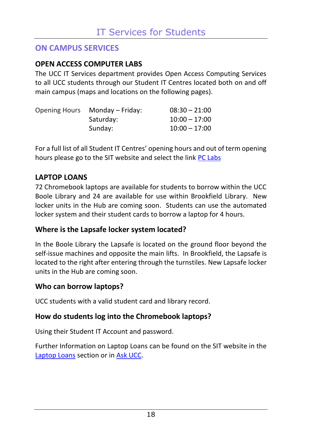# <span id="page-19-0"></span>**ON CAMPUS SERVICES**

# <span id="page-19-1"></span>**OPEN ACCESS COMPUTER LABS**

The UCC IT Services department provides Open Access Computing Services to all UCC students through our Student IT Centres located both on and off main campus (maps and locations on the following pages).

| Opening Hours Monday – Friday: | $08:30 - 21:00$ |
|--------------------------------|-----------------|
| Saturday:                      | $10:00 - 17:00$ |
| Sunday:                        | $10:00 - 17:00$ |

For a full list of all Student IT Centres' opening hours and out of term opening hours please go to the SIT website and select the lin[k PC Labs](https://www.ucc.ie/en/sit/services/about/)

# <span id="page-19-2"></span>**LAPTOP LOANS**

72 Chromebook laptops are available for students to borrow within the UCC Boole Library and 24 are available for use within Brookfield Library. New locker units in the Hub are coming soon. Students can use the automated locker system and their student cards to borrow a laptop for 4 hours.

# **Where is the Lapsafe locker system located?**

In the Boole Library the Lapsafe is located on the ground floor beyond the self-issue machines and opposite the main lifts. In Brookfield, the Lapsafe is located to the right after entering through the turnstiles. New Lapsafe locker units in the Hub are coming soon.

### **Who can borrow laptops?**

UCC students with a valid student card and library record.

### **How do students log into the Chromebook laptops?**

Using their Student IT Account and password.

Further Information on Laptop Loans can be found on the SIT website in the [Laptop Loans](https://www.ucc.ie/en/sit/services/laptoploans/) section or i[n Ask UCC.](https://www.ucc.ie/en/ask/)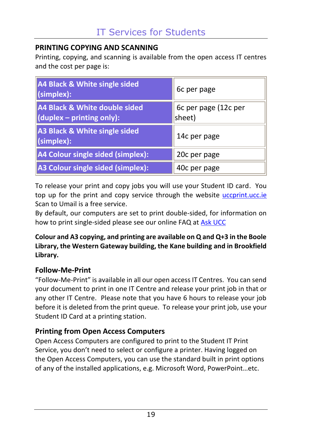# <span id="page-20-0"></span>**PRINTING COPYING AND SCANNING**

Printing, copying, and scanning is available from the open access IT centres and the cost per page is:

| A4 Black & White single sided<br>$\vert$ (simplex):                | 6c per page                    |
|--------------------------------------------------------------------|--------------------------------|
| A4 Black & White double sided<br>$\vert$ (duplex – printing only): | 6c per page (12c per<br>sheet) |
| A3 Black & White single sided<br>$\vert$ (simplex):                | 14c per page                   |
| A4 Colour single sided (simplex):                                  | 20c per page                   |
| A3 Colour single sided (simplex):                                  | 40c per page                   |

To release your print and copy jobs you will use your Student ID card. You top up for the print and copy service through the website uccprint.ucc.ie Scan to Umail is a free service.

By default, our computers are set to print double-sided, for information on how to print single-sided please see our online FAQ a[t Ask UCC](https://www.ucc.ie/en/ask/)

#### **Colour and A3 copying, and printing are available on Q and Q+3 in the Boole Library, the Western Gateway building, the Kane building and in Brookfield Library.**

# **Follow-Me-Print**

"Follow-Me-Print" is available in all our open access IT Centres. You can send your document to print in one IT Centre and release your print job in that or any other IT Centre. Please note that you have 6 hours to release your job before it is deleted from the print queue. To release your print job, use your Student ID Card at a printing station.

# **Printing from Open Access Computers**

Open Access Computers are configured to print to the Student IT Print Service, you don't need to select or configure a printer. Having logged on the Open Access Computers, you can use the standard built in print options of any of the installed applications, e.g. Microsoft Word, PowerPoint…etc.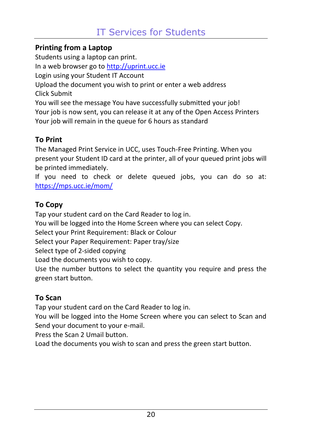# **Printing from a Laptop**

Students using a laptop can print. In a web browser go t[o http://uprint.ucc.ie](http://uprint.ucc.ie/) Login using your Student IT Account Upload the document you wish to print or enter a web address Click Submit You will see the message You have successfully submitted your job! Your job is now sent, you can release it at any of the Open Access Printers Your job will remain in the queue for 6 hours as standard

# **To Print**

The Managed Print Service in UCC, uses Touch-Free Printing. When you present your Student ID card at the printer, all of your queued print jobs will be printed immediately.

If you need to check or delete queued jobs, you can do so at: <https://mps.ucc.ie/mom/>

# **To Copy**

Tap your student card on the Card Reader to log in.

You will be logged into the Home Screen where you can select Copy.

Select your Print Requirement: Black or Colour

Select your Paper Requirement: Paper tray/size

Select type of 2-sided copying

Load the documents you wish to copy.

Use the number buttons to select the quantity you require and press the green start button.

# **To Scan**

Tap your student card on the Card Reader to log in.

You will be logged into the Home Screen where you can select to Scan and Send your document to your e-mail.

Press the Scan 2 Umail button.

Load the documents you wish to scan and press the green start button.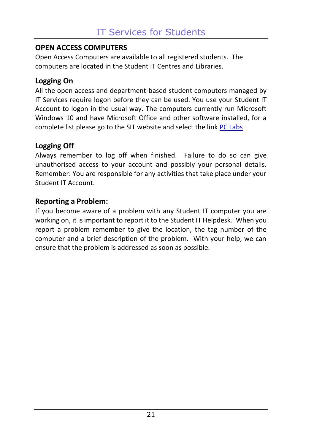# <span id="page-22-0"></span>**OPEN ACCESS COMPUTERS**

Open Access Computers are available to all registered students. The computers are located in the Student IT Centres and Libraries.

# **Logging On**

All the open access and department-based student computers managed by IT Services require logon before they can be used. You use your Student IT Account to logon in the usual way. The computers currently run Microsoft Windows 10 and have Microsoft Office and other software installed, for a complete list please go to the SIT website and select the lin[k PC Labs](https://www.ucc.ie/en/sit/services/about/)

# **Logging Off**

Always remember to log off when finished. Failure to do so can give unauthorised access to your account and possibly your personal details. Remember: You are responsible for any activities that take place under your Student IT Account.

# **Reporting a Problem:**

If you become aware of a problem with any Student IT computer you are working on, it is important to report it to the Student IT Helpdesk. When you report a problem remember to give the location, the tag number of the computer and a brief description of the problem. With your help, we can ensure that the problem is addressed as soon as possible.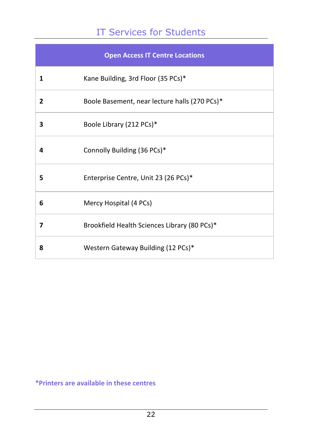# IT Services for Students

| <b>Open Access IT Centre Locations</b> |                                               |  |
|----------------------------------------|-----------------------------------------------|--|
| 1                                      | Kane Building, 3rd Floor (35 PCs)*            |  |
| 2                                      | Boole Basement, near lecture halls (270 PCs)* |  |
| 3                                      | Boole Library (212 PCs)*                      |  |
| 4                                      | Connolly Building (36 PCs)*                   |  |
| 5                                      | Enterprise Centre, Unit 23 (26 PCs)*          |  |
| 6                                      | Mercy Hospital (4 PCs)                        |  |
| 7                                      | Brookfield Health Sciences Library (80 PCs)*  |  |
| 8                                      | Western Gateway Building (12 PCs)*            |  |

## **\*Printers are available in these centres**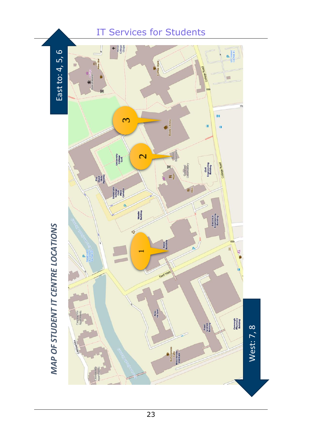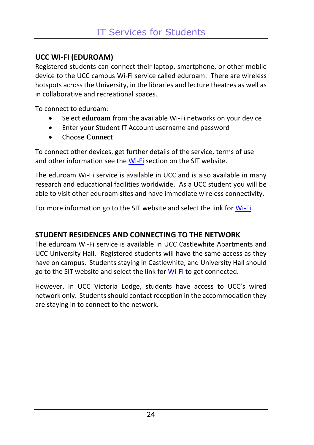# <span id="page-25-0"></span>**UCC WI-FI (EDUROAM)**

Registered students can connect their laptop, smartphone, or other mobile device to the UCC campus Wi-Fi service called eduroam. There are wireless hotspots across the University, in the libraries and lecture theatres as well as in collaborative and recreational spaces.

To connect to eduroam:

- Select **eduroam** from the available Wi-Fi networks on your device
- Enter your Student IT Account username and password
- Choose **Connect**

To connect other devices, get further details of the service, terms of use and other information see th[e Wi-Fi](https://www.ucc.ie/en/sit/wireless/) section on the SIT website.

The eduroam Wi-Fi service is available in UCC and is also available in many research and educational facilities worldwide. As a UCC student you will be able to visit other eduroam sites and have immediate wireless connectivity.

For more information go to the SIT website and select the link fo[r Wi-Fi](https://www.ucc.ie/en/sit/wireless/)

# **STUDENT RESIDENCES AND CONNECTING TO THE NETWORK**

The eduroam Wi-Fi service is available in UCC Castlewhite Apartments and UCC University Hall. Registered students will have the same access as they have on campus. Students staying in Castlewhite, and University Hall should go to the SIT website and select the link fo[r Wi-Fi](https://www.ucc.ie/en/sit/wireless/) to get connected.

However, in UCC Victoria Lodge, students have access to UCC's wired network only. Students should contact reception in the accommodation they are staying in to connect to the network.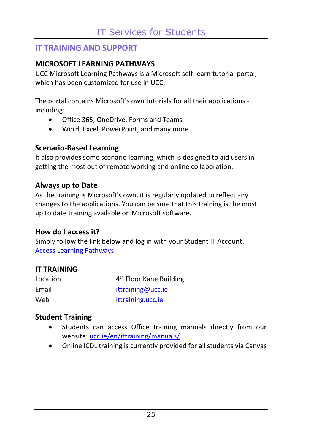# <span id="page-26-0"></span>**IT TRAINING AND SUPPORT**

## <span id="page-26-1"></span>**MICROSOFT LEARNING PATHWAYS**

UCC Microsoft Learning Pathways is a Microsoft self-learn tutorial portal, which has been customized for use in UCC.

The portal contains Microsoft's own tutorials for all their applications including:

- Office 365, OneDrive, Forms and Teams
- Word, Excel, PowerPoint, and many more

### **Scenario-Based Learning**

It also provides some scenario learning, which is designed to aid users in getting the most out of remote working and online collaboration.

### **Always up to Date**

As the training is Microsoft's own, it is regularly updated to reflect any changes to the applications. You can be sure that this training is the most up to date training available on Microsoft software.

### **How do I access it?**

Simply follow the link below and log in with your Student IT Account. [Access Learning Pathways](https://uccireland.sharepoint.com/sites/UCCM365)

# <span id="page-26-2"></span>**IT TRAINING**

| Location | 4 <sup>th</sup> Floor Kane Building |
|----------|-------------------------------------|
| Email    | ittraining@ucc.ie                   |
| Web      | ittraining.ucc.ie                   |

### **Student Training**

- Students can access Office training manuals directly from our website: [ucc.ie/en/ittraining/manuals/](https://www.ucc.ie/en/ittraining/manuals/)
- Online ICDL training is currently provided for all students via Canvas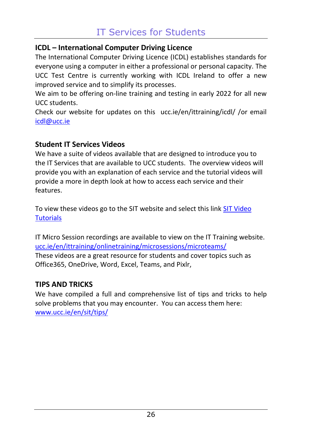# **ICDL – International Computer Driving Licence**

The International Computer Driving Licence (ICDL) establishes standards for everyone using a computer in either a professional or personal capacity. The UCC Test Centre is currently working with ICDL Ireland to offer a new improved service and to simplify its processes.

We aim to be offering on-line training and testing in early 2022 for all new UCC students.

Check our website for updates on this ucc.ie/en/ittraining/icdl/ /or email [icdl@ucc.ie](mailto:icdl@ucc.ie)

# **Student IT Services Videos**

We have a suite of videos available that are designed to introduce you to the IT Services that are available to UCC students. The overview videos will provide you with an explanation of each service and the tutorial videos will provide a more in depth look at how to access each service and their features.

To view these videos go to the SIT website and select this lin[k SIT Video](https://www.ucc.ie/en/ittraining/student/video/)  **[Tutorials](https://www.ucc.ie/en/ittraining/student/video/)** 

IT Micro Session recordings are available to view on the IT Training website. [ucc.ie/en/ittraining/onlinetraining/microsessions/microteams/](https://www.ucc.ie/en/ittraining/onlinetraining/microsessions/microteams/) These videos are a great resource for students and cover topics such as Office365, OneDrive, Word, Excel, Teams, and Pixlr,

### <span id="page-27-0"></span>**TIPS AND TRICKS**

We have compiled a full and comprehensive list of tips and tricks to help solve problems that you may encounter. You can access them here: [www.ucc.ie/en/sit/tips/](https://www.ucc.ie/en/sit/tips/)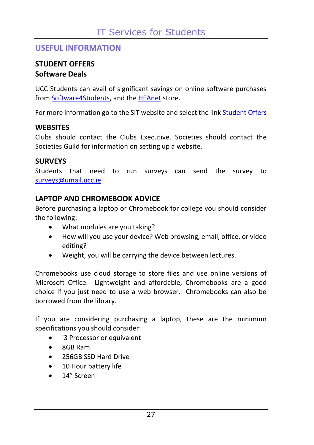# <span id="page-28-0"></span>**USEFUL INFORMATION**

# <span id="page-28-1"></span>**STUDENT OFFERS Software Deals**

UCC Students can avail of significant savings on online software purchases from [Software4Students,](https://www.software4students.ie/) and the [HEAnet](http://www.heanet.ie/store) store.

For more information go to the SIT website and select the lin[k Student Offers](http://www.ucc.ie/en/sit/offers/)

# **WEBSITES**

Clubs should contact the Clubs Executive. Societies should contact the Societies Guild for information on setting up a website.

# **SURVEYS**

Students that need to run surveys can send the survey to [surveys@umail.ucc.ie](mailto:surveys@umail.ucc.ie)

# <span id="page-28-2"></span>**LAPTOP AND CHROMEBOOK ADVICE**

Before purchasing a laptop or Chromebook for college you should consider the following:

- What modules are you taking?
- How will you use your device? Web browsing, email, office, or video editing?
- Weight, you will be carrying the device between lectures.

Chromebooks use cloud storage to store files and use online versions of Microsoft Office. Lightweight and affordable, Chromebooks are a good choice if you just need to use a web browser. Chromebooks can also be borrowed from the library.

If you are considering purchasing a laptop, these are the minimum specifications you should consider:

- i3 Processor or equivalent
- 8GB Ram
- 256GB SSD Hard Drive
- 10 Hour battery life
- 14" Screen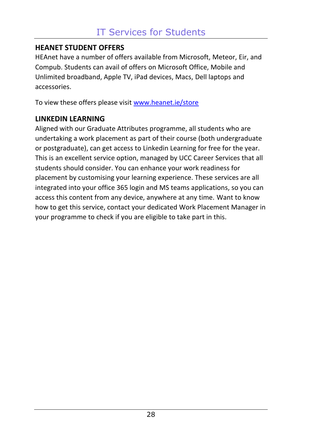# <span id="page-29-0"></span>**HEANET STUDENT OFFERS**

HEAnet have a number of offers available from Microsoft, Meteor, Eir, and Compub. Students can avail of offers on Microsoft Office, Mobile and Unlimited broadband, Apple TV, iPad devices, Macs, Dell laptops and accessories.

To view these offers please visi[t www.heanet.ie/store](http://www.heanet.ie/store)

### <span id="page-29-1"></span>**LINKEDIN LEARNING**

Aligned with our Graduate Attributes programme, all students who are undertaking a work placement as part of their course (both undergraduate or postgraduate), can get access to Linkedin Learning for free for the year. This is an excellent service option, managed by UCC Career Services that all students should consider. You can enhance your work readiness for placement by customising your learning experience. These services are all integrated into your office 365 login and MS teams applications, so you can access this content from any device, anywhere at any time. Want to know how to get this service, contact your dedicated Work Placement Manager in your programme to check if you are eligible to take part in this.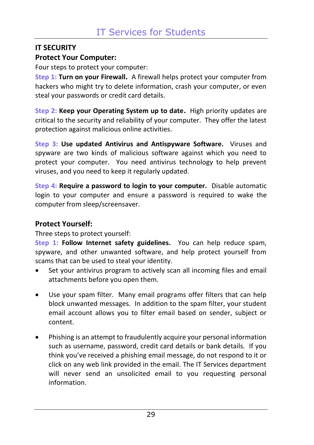# <span id="page-30-0"></span>**IT SECURITY Protect Your Computer:**

Four steps to protect your computer:

**Step 1: Turn on your Firewall.** A firewall helps protect your computer from hackers who might try to delete information, crash your computer, or even steal your passwords or credit card details.

**Step 2: Keep your Operating System up to date.** High priority updates are critical to the security and reliability of your computer. They offer the latest protection against malicious online activities.

**Step 3: Use updated Antivirus and Antispyware Software.** Viruses and spyware are two kinds of malicious software against which you need to protect your computer. You need antivirus technology to help prevent viruses, and you need to keep it regularly updated.

**Step 4: Require a password to login to your computer.** Disable automatic login to your computer and ensure a password is required to wake the computer from sleep/screensaver.

### **Protect Yourself:**

Three steps to protect yourself:

**Step 1: Follow Internet safety guidelines.** You can help reduce spam, spyware, and other unwanted software, and help protect yourself from scams that can be used to steal your identity.

- Set your antivirus program to actively scan all incoming files and email attachments before you open them.
- Use your spam filter. Many email programs offer filters that can help block unwanted messages. In addition to the spam filter, your student email account allows you to filter email based on sender, subject or content.
- Phishing is an attempt to fraudulently acquire your personal information such as username, password, credit card details or bank details. If you think you've received a phishing email message, do not respond to it or click on any web link provided in the email. The IT Services department will never send an unsolicited email to you requesting personal information.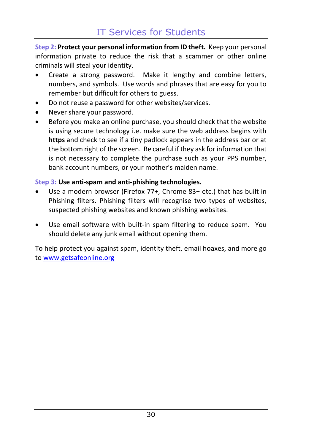**Step 2: Protect your personal information from ID theft.** Keep your personal information private to reduce the risk that a scammer or other online criminals will steal your identity.

- Create a strong password. Make it lengthy and combine letters, numbers, and symbols. Use words and phrases that are easy for you to remember but difficult for others to guess.
- Do not reuse a password for other websites/services.
- Never share your password.
- Before you make an online purchase, you should check that the website is using secure technology i.e. make sure the web address begins with **https** and check to see if a tiny padlock appears in the address bar or at the bottom right of the screen. Be careful if they ask for information that is not necessary to complete the purchase such as your PPS number, bank account numbers, or your mother's maiden name.

#### **Step 3: Use anti-spam and anti-phishing technologies.**

- Use a modern browser (Firefox 77+, Chrome 83+ etc.) that has built in Phishing filters. Phishing filters will recognise two types of websites, suspected phishing websites and known phishing websites.
- Use email software with built-in spam filtering to reduce spam. You should delete any junk email without opening them.

To help protect you against spam, identity theft, email hoaxes, and more go to [www.getsafeonline.org](http://www.getsafeonline.org/)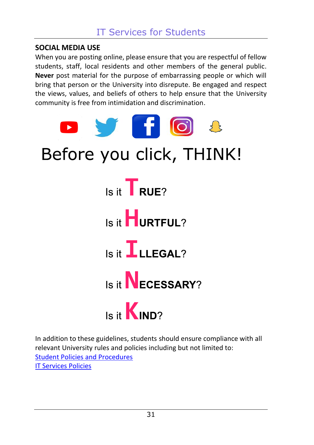## <span id="page-32-0"></span>**SOCIAL MEDIA USE**

When you are posting online, please ensure that you are respectful of fellow students, staff, local residents and other members of the general public. **Never** post material for the purpose of embarrassing people or which will bring that person or the University into disrepute. Be engaged and respect the views, values, and beliefs of others to help ensure that the University community is free from intimidation and discrimination.



In addition to these guidelines, students should ensure compliance with all relevant University rules and policies including but not limited to: [Student Policies and Procedures](https://www.ucc.ie/en/students/academic/policies/) [IT Services Policies](https://www.ucc.ie/en/it-policies/)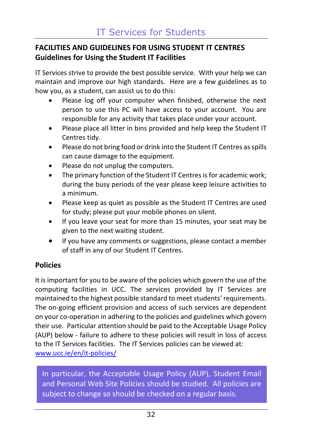# <span id="page-33-0"></span>**FACILITIES AND GUIDELINES FOR USING STUDENT IT CENTRES Guidelines for Using the Student IT Facilities**

IT Services strive to provide the best possible service. With your help we can maintain and improve our high standards. Here are a few guidelines as to how you, as a student, can assist us to do this:

- Please log off your computer when finished, otherwise the next person to use this PC will have access to your account. You are responsible for any activity that takes place under your account.
- Please place all litter in bins provided and help keep the Student IT Centres tidy.
- Please do not bring food or drink into the Student IT Centres as spills can cause damage to the equipment.
- Please do not unplug the computers.
- The primary function of the Student IT Centres is for academic work; during the busy periods of the year please keep leisure activities to a minimum.
- Please keep as quiet as possible as the Student IT Centres are used for study; please put your mobile phones on silent.
- If you leave your seat for more than 15 minutes, your seat may be given to the next waiting student.
- If you have any comments or suggestions, please contact a member of staff in any of our Student IT Centres.

# **Policies**

It is important for you to be aware of the policies which govern the use of the computing facilities in UCC. The services provided by IT Services are maintained to the highest possible standard to meet students' requirements. The on-going efficient provision and access of such services are dependent on your co-operation in adhering to the policies and guidelines which govern their use. Particular attention should be paid to the Acceptable Usage Policy (AUP) below - failure to adhere to these policies will result in loss of access to the IT Services facilities. The IT Services policies can be viewed at: [www.ucc.ie/en/it-policies/](http://www.ucc.ie/en/it-policies/)

<span id="page-33-1"></span>In particular, the Acceptable Usage Policy (AUP), Student Email and Personal Web Site Policies should be studied. All policies are subject to change so should be checked on a regular basis.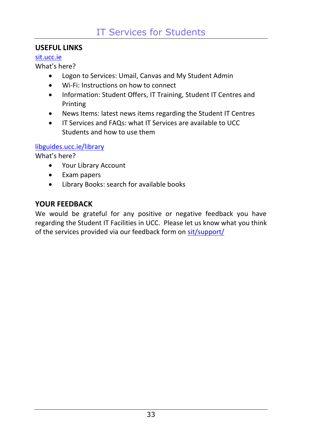# **USEFUL LINKS**

#### [sit.ucc.ie](https://www.ucc.ie/en/sit/)

What's here?

- Logon to Services: Umail, Canvas and My Student Admin
- Wi-Fi: Instructions on how to connect
- Information: Student Offers, IT Training, Student IT Centres and Printing
- News Items: latest news items regarding the Student IT Centres
- IT Services and FAQs: what IT Services are available to UCC Students and how to use them

### [libguides.ucc.ie/library](https://libguides.ucc.ie/library)

What's here?

- Your Library Account
- Exam papers
- Library Books: search for available books

# <span id="page-34-0"></span>**YOUR FEEDBACK**

We would be grateful for any positive or negative feedback you have regarding the Student IT Facilities in UCC. Please let us know what you think of the services provided via our feedback form on [sit/support/](https://www.ucc.ie/en/sit/support/)